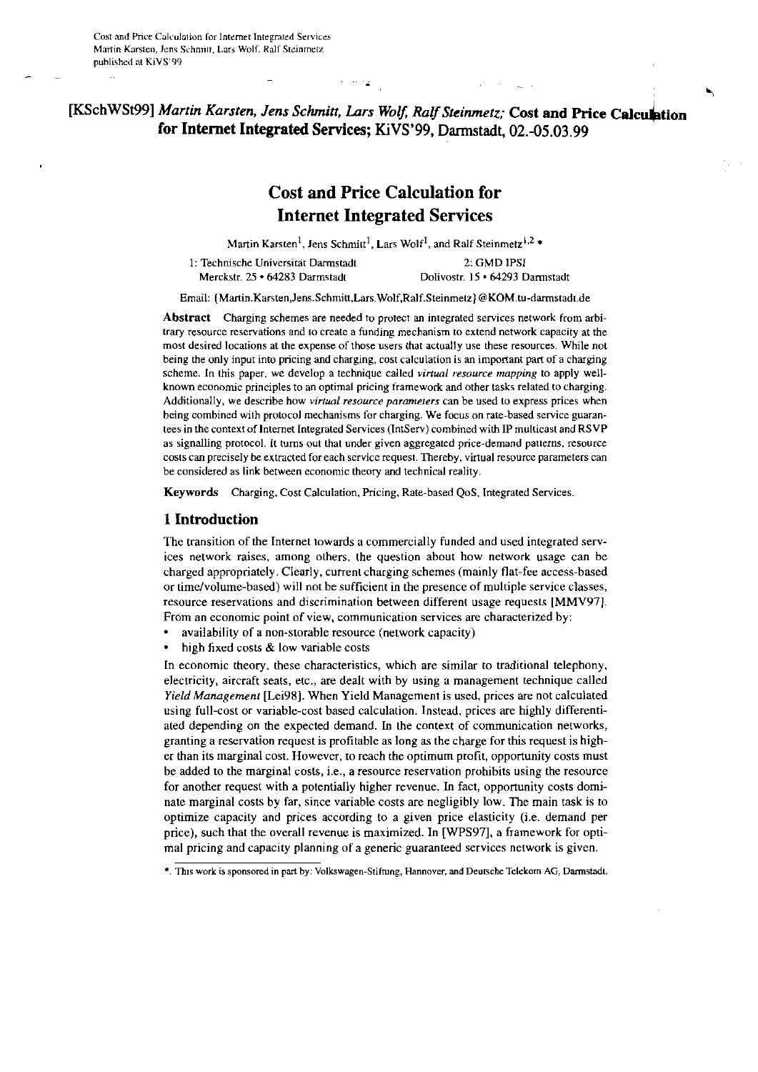# [KSchWSt99] Martin Karsten, Jens Schmitt, Lars Wolf, Ralf Steinmetz; Cost and Price Calculation for Internet Integrated Services; KiVS'99, Darmstadt, 02.-05.03.99

# **Cost and Price Calculation for Internet Integrated Services**

Martin Karsten<sup>1</sup>, Jens Schmitt<sup>1</sup>, Lars Wolf<sup>1</sup>, and Ralf Steinmetz<sup>1,2</sup> \*

1: Technische Universität Darmstadt 2 GMD IPSI Merckstr. 25 · 64283 Darmstadt Dolivostr. 15 · 64293 Darmstadt

Email: {Martin.Karsten,Jens.Schmitt,Lars.Wolf,Ralf.Steinmetz}@KOM.tu-darmstadt.de

Abstract Charging schemes are needed to protect an integrated services network from arbitrary resource reservations and to create a funding mechanism to extend network capacity at the most desired locations at the expense of those users that actually use these resources. While not being the only input into pricing and charging, cost calculation is an important part of a charging scheme. In this paper, we develop a technique called virtual resource mapping to apply wellknown economic principles to an optimal pricing framework and other tasks related to charging. Additionally, we describe how virtual resource parameters can be used to express prices when being combined with protocol mechanisms for charging. We focus on rate-based service guarantees in the context of Internet Integrated Services (IntServ) combined with IP multicast and RSVP as signalling protocol. It turns out that under given aggregated price-demand patterns, resource costs can precisely be extracted for each service request. Thereby, virtual resource parameters can be considered as link between economic theory and technical reality.

Keywords Charging, Cost Calculation, Pricing, Rate-based QoS, Integrated Services.

# 1 Introduction

The transition of the Internet towards a commercially funded and used integrated services network raises, among others, the question about how network usage can be charged appropriately. Clearly, current charging schemes (mainly flat-fee access-based or time/volume-based) will not be sufficient in the presence of multiple service classes, resource reservations and discrimination between different usage requests [MMV97]. From an economic point of view, communication services are characterized by:

- availability of a non-storable resource (network capacity)
- high fixed costs & low variable costs

In economic theory, these characteristics, which are similar to traditional telephony, electricity, aircraft seats, etc., are dealt with by using a management technique called Yield Management [Lei98]. When Yield Management is used, prices are not calculated using full-cost or variable-cost based calculation. Instead, prices are highly differentiated depending on the expected demand. In the context of communication networks, granting a reservation request is profitable as long as the charge for this request is higher than its marginal cost. However, to reach the optimum profit, opportunity costs must be added to the marginal costs, i.e., a resource reservation prohibits using the resource for another request with a potentially higher revenue. In fact, opportunity costs dominate marginal costs by far, since variable costs are negligibly low. The main task is to optimize capacity and prices according to a given price elasticity (i.e. demand per price), such that the overall revenue is maximized. In [WPS97], a framework for optimal pricing and capacity planning of a generic guaranteed services network is given.

<sup>\*.</sup> This work is sponsored in part by: Volkswagen-Stiftung, Hannover, and Deutsche Telekorn AG, Darmstadt.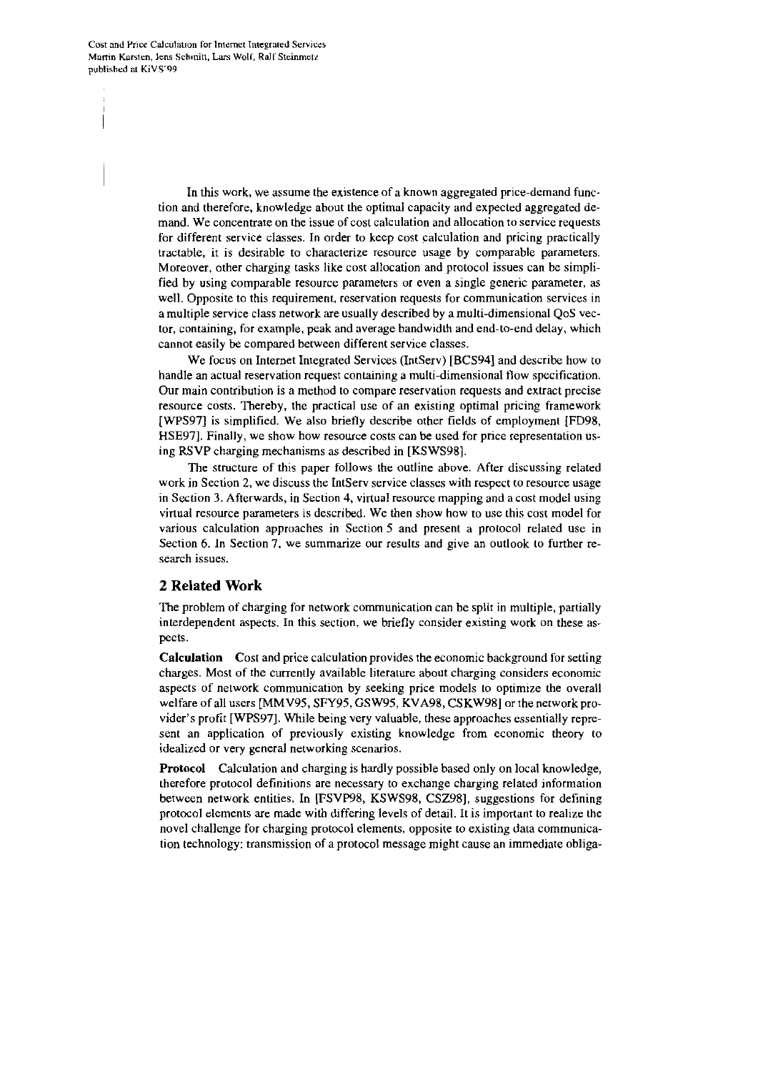Cost and Price Calculation for Internet Integrated Services Martin Karsten, Jens Schmitt, Lars Wolf, Ralf Steinmetz published at KiVS'99

> In this work, we assume the existence of a known aggregated price-demand function and therefore, knowledge about the optimal capacity and expected aggregated demand. We concentrate on the issue of cost calculation and allocation to service requests for different service classes. In order to keep cost calculation and pricing practically tractable, it is desirable to characterize resource usage by comparable parameters. Moreover, other charging tasks like cost allocation and protocol issues can be simplified by using comparable resource parameters or even a single generic parameter, as well. Opposite to this requirement, reservation requests for communication services in a multiple service class network are usually described by a multi-dimensional QoS vector, containing, for example, peak and average bandwidth and end-to-end delay, which cannot easily be compared between different service classes.

> We focus on Internet Integrated Services (IntServ) [BCS94] and describe how to handle an actual reservation request containing a multi-dimensional flow specification. Our main contribution is a method to compare reservation requests and extract precise resource costs. Thereby, the practical use of an existing optimal pricing framework [WPS97] is simplified. We also briefly describe other fields of employment [FD98, HSE97]. Finally, we show how resource costs can be used for price representation using RSVP charging mechanisms as described in [KSWS98].

> The structure of this paper follows the outline above. After discussing related work in Section 2, we discuss the IntServ service classes with respect to resource usage in Section 3. Afterwards, in Section 4, virtual resource mapping and a cost model using virtual resource parameters is described. We then show how to use this cost model for various calculation approaches in Section 5 and present a protocol related use in Section 6. In Section 7, we summarize our results and give an outlook to further research issues.

# 2 Related Work

The problem of charging for network communication can be split in multiple, partially interdependent aspects. In this section, we briefly consider existing work on these aspects.

**Calculation** Cost and price calculation provides the economic background for setting charges. Most of the currently available literature about charging considers economic aspects of network communication by seeking price models to optimize the overall welfare of all users [MMV95, SFY95, GSW95, KVA98, CSKW98] or the network provider's profit [WPS97]. While being very valuable, these approaches essentially represent an application of previously existing knowledge from economic theory to idealized or very general networking scenarios.

**Protocol** Calculation and charging is hardly possible based only on local knowledge, therefore protocol definitions are necessary to exchange charging related information between network entities. In [FSVP98, KSWS98, CSZ98], suggestions for defining protocol elements are made with differing levels of detail. It is important to realize the novel challenge for charging protocol elements, opposite to existing data communication technology: transmission of a protocol message might cause an immediate obliga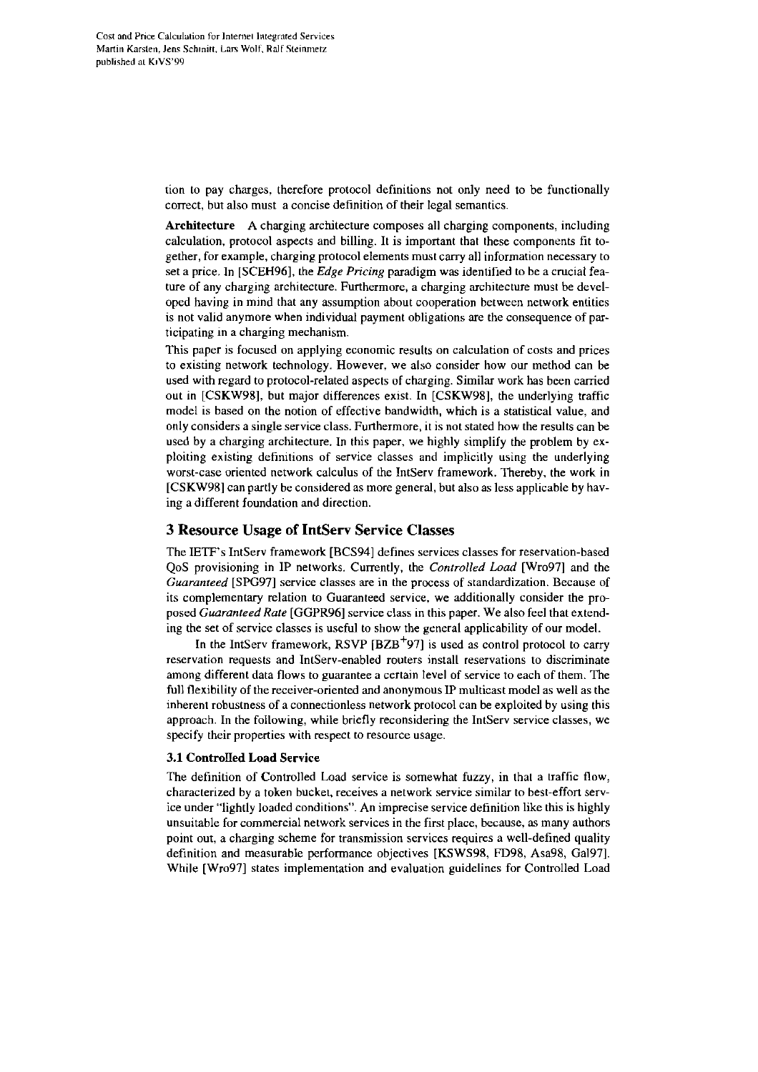tion to pay charges, therefore protocol definitions not only need to be functionally correct, but also must a concise definition of their legal semantics.

Architecture A charging architecture composes all charging components, including calculation, protocol aspects and billing. It is important that these components fit together, for example, charging protocol elements must cany all inforrnation necessary to set a price. In [SCEH96], the *Edge Pricing* paradigm was identified to be a cmcial feature of any charging architecture. Furthermore, a charging architecture must be developed having in mind that any assumption about cooperation between network entities is not valid anymore when individual payment obligations are the consequence of participating in a charging mechanism.

This paper is focused on applying economic results on calculation of costs and prices to existing network technology. However, we also consider how our method can be used with regard to protocol-related aspects of charging. Similar work has been carried out in LCSKW981, but major differences exist. In [CSKW98], the underlying traffic model is based on the notion of effective bandwidth. which is a statistical value, and only considers a single service class. Furthermore, it is not stated how the results can be used by a charging architecture. In this paper, we highly simplify the problem by exploiting existing definitions of service classes and implicitly using the underlying worst-case oriented network calculus of the IntServ framework. Thereby. the work in [CSKW98] can partly be considered as more general, but also as less applicable by having adifferent foundation and direction.

# **3 Resource Usage of IntServ Service Classes**

The IETF's IntServ framework [BCS94] defines services classes for reservation-based QoS provisioning in IP networks. Currently, the *Controlled Load* [Wro97] and the *Guaranreed* [SPG97] service classes are in the process of standardization. Because of its complementary relation to Guaranteed service, we additionally consider the proposed *Guaranteed Rare* [GGPR96] service class in this paper. We also feel that extending the set of service classes is useful to show the general applicability of our model.

In the IntServ framework, RSVP  $[{\bf BZB}^+97]$  is used as control protocol to carry reservation requests and IntServ-enabled routers install reservations to discriminate among different data flows to guarantee a certain level of service to each of them. The full flexibility of the receiver-oriented and anonymous 1P multicast model as well as the inherent robustness of a connectionless network protocol can be exploited by using this approach. In the following, while briefly reconsidering the IntServ service classes, we specify their properties with respect to resource usage.

### 3.1 Controlled Load Service

The definition of Controlled Load service is somewhat fuzzy, in that a traffic flow, characterized by a token bucket, receives a network service similar to best-effort service under "lightly loaded conditions". An imprecise service definition like this is highly unsuitable for commercial network services in the first place, kcause, **as** many authors point out, a charging scheme for transmission services requires a well-defined quality definition and measurable performance objectives [KSWS98, FD98, Asa98, Ga1971. While [Wro97] states implementation and evaluation guidelines for Controlled Load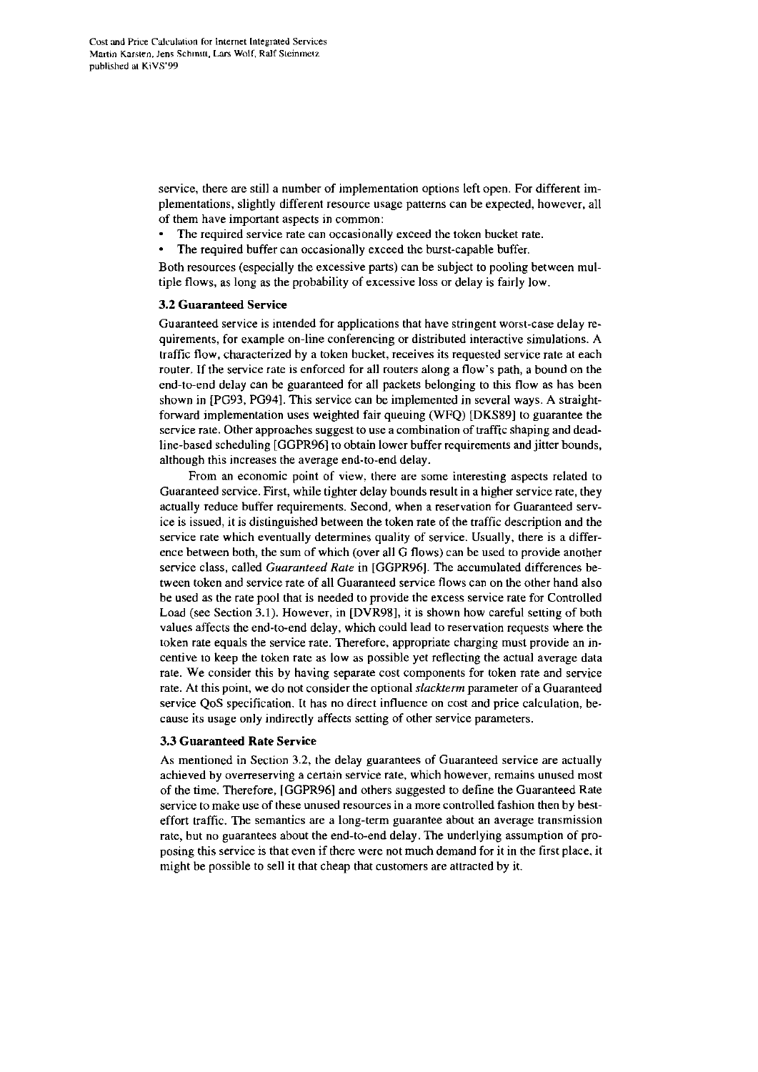service, there are still a number of implementation options left open. For different implementations, slightly different resource usage patterns can be expected, however, all of them have important aspects in common:

- The required service rate can occasionally exceed the token bucket rate.
- The required buffer can occasionally exceed the burst-capable buffer.

Both resources (especially the excessive parts) can be subject to pooling between multiple flows, as long as the probability of excessive loss or delay is fairly low.

### 3.2 Guaranteed Service

Guaranteed service is inrended for applications that have stringent worst-case delay **re**quirements, for example on-line conferencing or distributed interactive simulations. A traffic flow, characterized by a token bucket, receives its requested service rate at each router. If the service rate is enforced for all routers along a flow's path, a bound on the end-to-end delay can be guaranteed for all packets belonging to this flow as has been shown in [PG93, PG941. This service can be implemented in several ways. A straightfonvard implementation uses weighted fair queuing (WFQ) [DKS89] to guarantee the service rate. Other approaches suggest to use a combination of traffic shaping and deadline-based scheduling [GGPR96] to obtain lower buffer requirements and jitter bounds. although this increases the average end-to-end delay.

From an economic point of view. there are some interesting aspects related to Guaranteed service. First, while tighter delay bounds result in a higher service rate, they actually reduce buffer requirements. Second, when a reservation for Guaranteed service is issued, it is distinguished between the token rate of the traffic description and the service rate which eventually determines quality of service. Usually, there is a difference between both, the sum of which (over all G flows) can be used to provide another service class, called *Guarariteed Rate* in [GGPR96]. The accumulated differences between token and service rate of all Guaranteed service flows can on the other hand also be used as the rate pool that is needed to provide the excess service rate for Controlled Load (See Section 3.1). However, in [DVR98], it is shown how careful setting of both values affects the end-to-end delay, which could lead to reservation requests where the token rate equals the service rate. Therefore. appropriate charging must provide an incentive to keep the token rate as low as possible yet reflecting the actual average data rate. We consider this by having separate cost components for token rate and service rate. At this point, we do not consider the optional *slackterm* parameter of a Guaranteed service QoS specification. It has no direct influence on cost and price calculation, because its usage only indirectly affects setting of other service parameters.

### 3.3 Guaranteed Rate Service

As mentioned in Section 3.2, the delay guarantees of Guaranteed service are actually achieved by overreserving a cenain service rate, which however, remains unused most of the time. Therefore, [GGPR96] and others suggested to define the Guaranteed Rate service to make use of these unused resources in a more controlled fashion then by besteffort traffic. The semantics are a long-term guarantee about an average transmission rate, but no guarantees about the end-to-end delay. The underlying assumption of proposing this service is that even if there were not much demand for it in the first place. it might he possible to sell it that cheap that customers are attracted by it.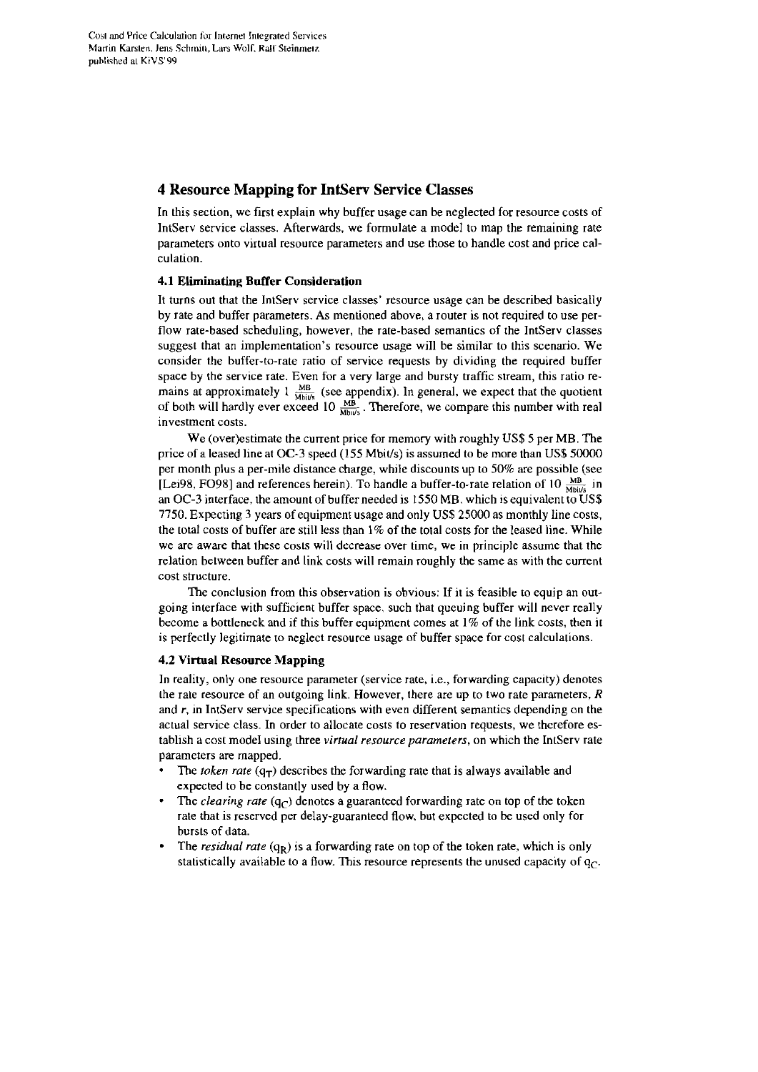# **4 Resource Mapping for IntServ Service Classes**

In this section, we first explain why buffer usage can be neglected for resource costs of IntServ service classes. Afterwards, we formulate a model to map the remaining rate parameters onto virtual resource parameters and use those to handle cost and price calculation.

## 4.1 Eiiuninating **Buffer** Consideration

It turns out that the IntServ service classes' resource usage can be described basically by rate and buffer parameters. As mentioned above, a router is not required to use perflow rate-based scheduling, however, the rate-based semantics of the IntServ classes suggest that an implementation's resource usage will be similar to ihis scenario. We consider the buffer-to-rate ratio of service requests by dividing the required buffer space by the service rate. Even for a very large and bursty traffic stream, this ratio remains at approximately  $1 \frac{\text{MB}}{\text{Mblu/s}}$  (see appendix). In general, we expect that the quotient of both will hardly ever exceed  $10 \frac{\text{MB}}{\text{Mblu/s}}$ . Therefore, we compare this number with real Investment costs.

We (over)estimate the current price for memory with roughly US\$5 per MB. The price of a leased line at OC-3 speed  $(155 \text{ Mbit/s})$  is assumed to be more than US\$ 50000 per month plus a per-mile distance charge, while discounts up to 50% are possible (see [Lei98, FO98] and references herein). To handle a buffer-to-rate relation of 10  $_{\text{Mbivis}}^{MB}$  in an OC-3 interface, the amount of buffer needed is 1550 MB. which is equivalent to US\$ 7750. Expecting 3 years of equipment usage and only US\$25000 as monthly line costs. the total costs of huffer are still less than 1% of the total costs for the leased line. While we are aware that these costs will decrease over time, we in principle assume that the relation belween buffer and link costs will remain roughly the same as with the current cost structure.

The conclusion from this observation is obvious: If it is feasible to equip an outgoing interface with sufficient buffer space. such that queuing buffer will never really become a bottleneck and if this buffer equipment Comes at 1% of ihe link costs, then it is perfectly legitimate to neglect resource usage of buffer space for cosi calculaiions.

# 4.2 Virtual Resource Mapping

In reality, only one resource parameter (service rate, i.e., forwarding capacity) denotes the rate resource of an outgoing link. However, there are up to two rate parameters,  $R$ and r, in IntServ service specifications with even different semantics depending on the actual service class. In order to allocate costs to reservation requests, we rherefore establish a cost mode1 using three **virrual resource parameters,** on which the IntServ rate parameters are mapped.

- The *token rate*  $(q_T)$  describes the forwarding rate that is always available and expected to be constantly used by a flow.
- The *clearing rate*  $(q_C)$  denotes a guaranteed forwarding rate on top of the token rate that is reserved per delay-guaranteed flow, but expected to **be** used only for bursts of data.
- The *residual rate*  $(q_R)$  is a forwarding rate on top of the token rate, which is only statistically available to a flow. This resource represents the unused capacity of  $q_c$ .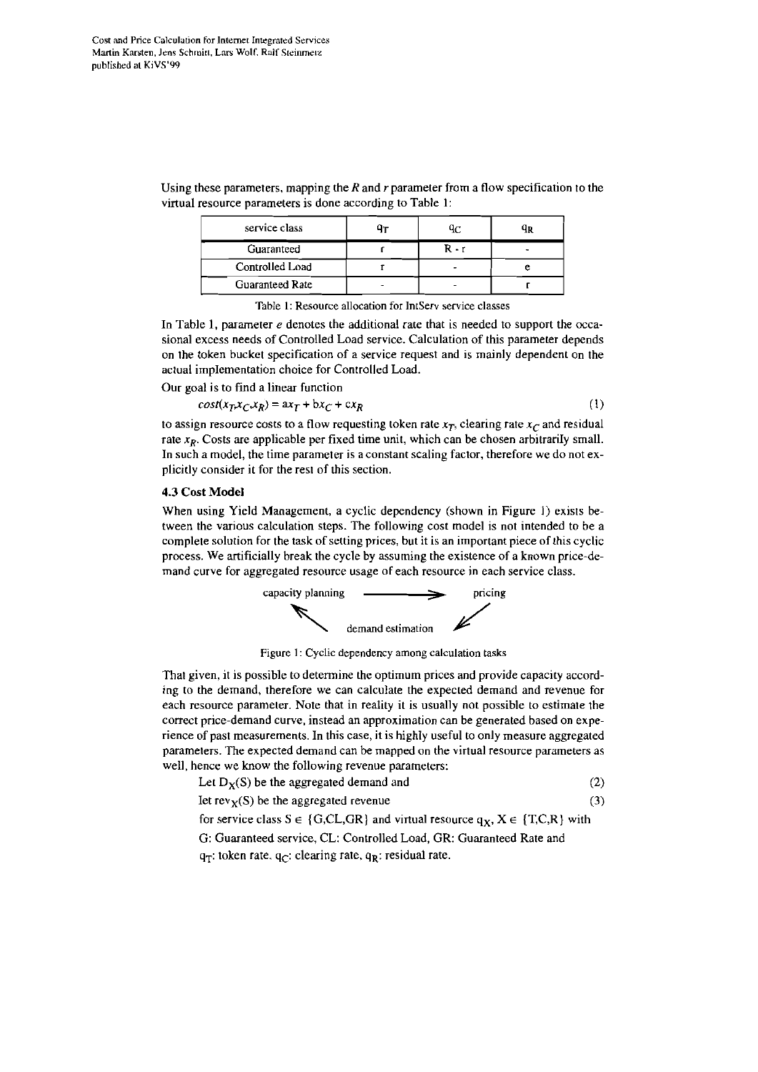| service class          | Jτ | qс    |  |
|------------------------|----|-------|--|
| Guaranteed             |    | R - r |  |
| Controlled Load        |    |       |  |
| <b>Guaranteed Rate</b> |    |       |  |

Using these parameters, mapping the  $R$  and  $r$  parameter from a flow specification to the virtual resource parameters is done according to Table 1:

Table I: Resource allocation for lntServ service classes

In Table 1, parameter  $e$  denotes the additional rate that is needed to support the occasional excess needs of Controlled Load service. Calculation of this parameter depends an the token bucket specification of a service request and is mainly dependent an the actual implementation choice for Controlled Load.

Our goal is to find a linear function

$$
cost(x_T x_C, x_R) = ax_T + bx_C + cx_R
$$
 (1)

to assign resource costs to a flow requesting token rate  $x_T$ , clearing rate  $x_C$  and residual rate  $x_R$ . Costs are applicable per fixed time unit, which can be chosen arbitrarily small. In such a model, the time parameter is a constant scaling factor, therefore we do not explicitly consider it for the rest of this section.

#### 4.3 Cost Model

When using Yield Management, a cyclic dependency (shown in Figure **1)** exists between the various calculation steps. The following cost model is not intended to be a complete solution for the task of Setting prices, but it is an important piece of this cyclic process. We artificially break the cycle by assuming the existence of a known price-demand curve for aggregated resource usage of each resource in each service class.



Figure 1: Cyclic dependency among calculation tasks

That given, it is possible to determine the optimum prices and provide capacity according to the demand, therefore we can calculate the expected demand and revenue for each resource parameter. Note that in reality it is usually not possible to estimate the correct price-demand curve. instead an approximation can be generated based an experience of past measurements. In this case, it is highly useful to only measure aggregated parameters. The expected demand can be mapped on the virtual resource parameters as well, hence we know the following revenue parameters:

| Let $D_X(S)$ be the aggregated demand and |  |
|-------------------------------------------|--|
|-------------------------------------------|--|

Iet  $rev_X(S)$  be the aggregated revenue (3)

for service class  $S \in \{G, CL, GR\}$  and virtual resource  $q_X, X \in \{T, C, R\}$  with

G: Guaranteed service, CL: Controlled Load, GR: Guaranteed Rate and

q<sub>T</sub>: token rate. q<sub>C</sub>: clearing rate, q<sub>R</sub>: residual rate.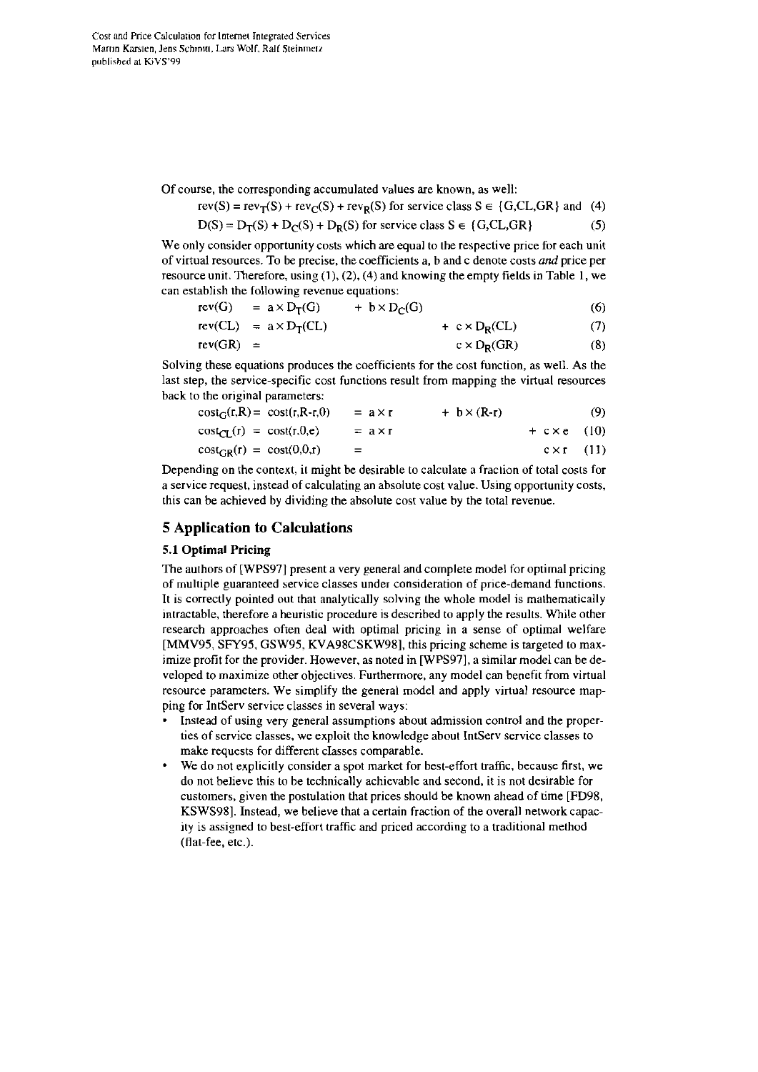Of Course, the corresponding accumulated values are known, as well:

$$
rev(S) = rev_T(S) + rev_C(S) + rev_R(S)
$$
 for service class  $S \in \{G, CL, GR\}$  and (4)

$$
D(S) = D_T(S) + D_C(S) + D_R(S)
$$
 for service class  $S \in \{G, CL, GR\}$  (5)

We only consider opportunity costs which are equal to the respective price for each unit of virtual resources. To be precise, ihe coefficients a, b and C denote costs **und** price per resource unit. Therefore, using **(I),** *(2),* (4) and knowing the empty fields in Table 1, we can establish the following revenue equations:

$$
rev(G) = a \times D_T(G) + b \times D_C(G) \tag{6}
$$

$$
rev(CL) = a \times D_T(Cl) + c \times D_R(Cl) \tag{7}
$$

$$
rev(GR) = c \times D_R(GR) \tag{8}
$$

Solving these equations produces the coefficients for the cost function, as well. As the last step, the service-specific cost functions result from mapping the virtual resources back to the original parameters:

$$
cost_G(r,R) = cost(r,R-r,0) = a \times r + b \times (R-r)
$$
\n(9)

$$
cost_{CL}(r) = cost(r, 0, e) = a \times r + c \times e \quad (10)
$$

$$
cost_{GR}(r) = cost(0,0,r) = c \times r \quad (11)
$$

Depending on the context, it might be desirable to calculate a fraction of total costs for a service request. instead of calculating an absolute cost value. Using opportunity costs, this can be achieved by dividing the absolute cost value by the total revenue.

# **5 Application to Calculations**

# **5.1 Optimal Pricing**

The aulhors of [WPS97] present a very general and complete model for optimal pricing of multiple guaranteed service classes under consideration of price-demand functions. It is correctly pointed out that analytically solving the whole model is mathematically intractable, therefore a heuristic procedure is described to apply the results. While other research approaches often deal with optimal pricing in a sense of optimal welfare [MMV95; SFY95. GSW95, KVA98CSKW981, this pricing scheme is targeted to maximize profit for the provider. However. as noted in [WPS97], a similar model can be developed to maximize other objectives. Furthermore. any model can benefit from virtual resource parameters. We simplify the general model and apply virtual resource mapping for IntServ service classes in several ways:

- Instead of using very general assumptions about admission control and the properties of service classes, we exploit the knowledge about IntServ service classes to make requests for different classes comparable.
- We do not explicitly consider a spot market for best-effort traffic. because first, we do not believe this to be technically achievable and second, it is not desirable for customers, given the postulation that prices should he known ahead of time [FD98, KSWS981. Instead, we belicve that a certain fraction of the overall network capacity is assigned to best-effort uaffic and priced according to a traditional method (flat-fee, etc.).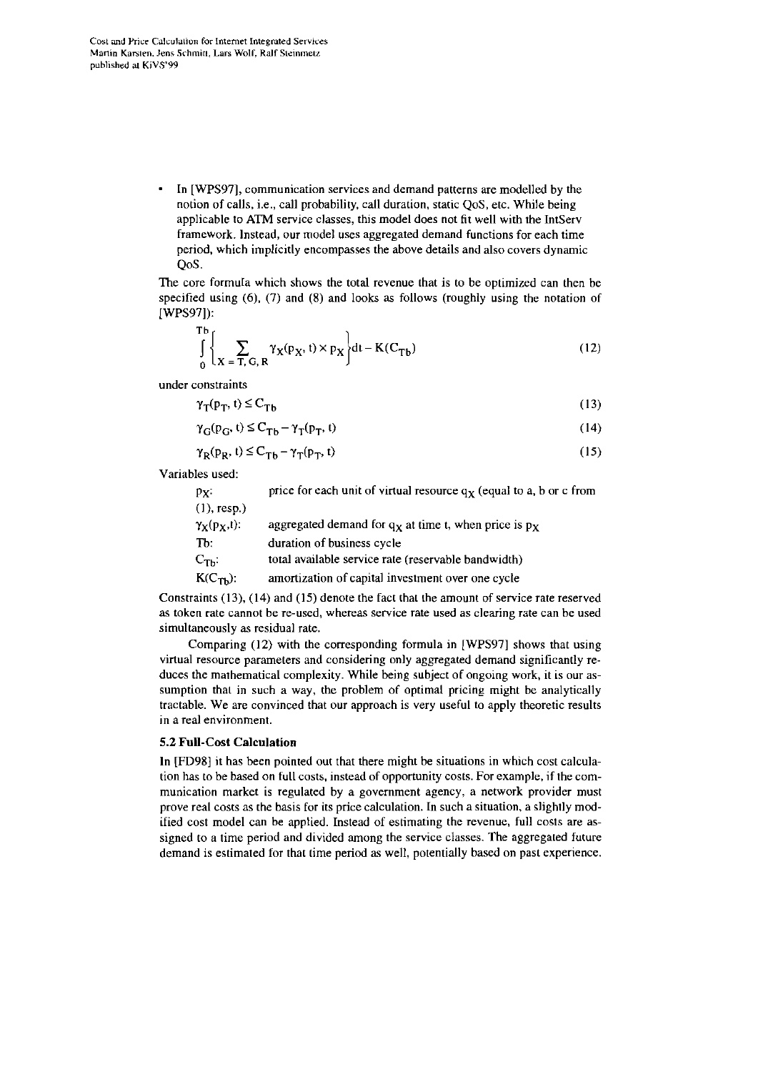In [WPS97], communication services and demand patterns are modelled by the  $\bullet$ notion of calls, i.e., call probability. call duration, static QoS, etc. While being applicable to **ATM** service classes, tbis model does not fit well with rhe IntServ framework. Instead, our model uses aggregated demand functions for each time period. which implicitly encompasses the above details and also Covers dynamic QoS.

The core formuIa which shows the total revenue that is to be opiimized can then be specified using (6). (7) and (8) and looks **as** follows (roughly using the notation of [WPS97]):

$$
\int_{0}^{Tb} \left\{ \sum_{X= T, G, R} \gamma_X(p_X, t) \times p_X \right\} dt - K(C_{Tb})
$$
\n(12)

under constraints

$$
\gamma_{\mathsf{T}}(\mathsf{p}_{\mathsf{T}},\,t) \leq C_{\mathsf{T}\mathsf{b}}\tag{13}
$$

$$
\gamma_{\mathbf{G}}(\mathbf{p}_{\mathbf{G}}, \mathbf{t}) \leq \mathbf{C}_{\mathbf{T}\mathbf{b}} - \gamma_{\mathbf{T}}(\mathbf{p}_{\mathbf{T}}, \mathbf{t})\tag{14}
$$

$$
\gamma_{\mathbf{R}}(\mathbf{p}_{\mathbf{R}}, \mathbf{t}) \leq \mathbf{C}_{\mathbf{T}\mathbf{b}} - \gamma_{\mathbf{T}}(\mathbf{p}_{\mathbf{T}}, \mathbf{t})\tag{15}
$$

Variables used:

| price for each unit of virtual resource $qx$ (equal to a, b or c from<br>$p_X$ .  |  |
|-----------------------------------------------------------------------------------|--|
| $(1)$ , resp.)                                                                    |  |
| $\gamma_X(p_X,t)$ :<br>aggregated demand for $q_X$ at time t, when price is $p_X$ |  |
| Tb:<br>duration of business cycle                                                 |  |
| total available service rate (reservable bandwidth)<br>$\mathrm{C_{Tb}:}$         |  |
| amortization of capital investment over one cycle<br>$K(C_{Th})$ :                |  |

Constraints (13), (14) and (15) denote the fact that the amount of service rate reserved as token rate cannot be re-used, whereas service rate used as clearing rate can be used simultaneously **as** residual rate.

Comparing (12) with the corresponding formula in [WPS97] shows that using virtual resource parameters and considering only aggregated demand significantly reduces the mathematical complexity. While being subject of ongoing work, it is our assumption thai in such a way, the problem of optimal pricing might be analytically tractable. We are convinced that our approach is very useful to apply theoretic results in a real environment.

# 5.2 Full-Cost Calculation

In [FD98] it has been pointed out that there might be situations in which cost calculation has tobe based on full costs. instead of opportunity costs. For example, if the communication market is regulated by a government agency, a network provider must prove real costs as the basis for its price calculation. In such a situation, a slightly modified cost model can be applied. Instead of estimating the revenue, full costs are assigned to a time period and divided among the service classes. The aggregaied future demand is estimated for that time pericd **as** well, potentially based on past experience.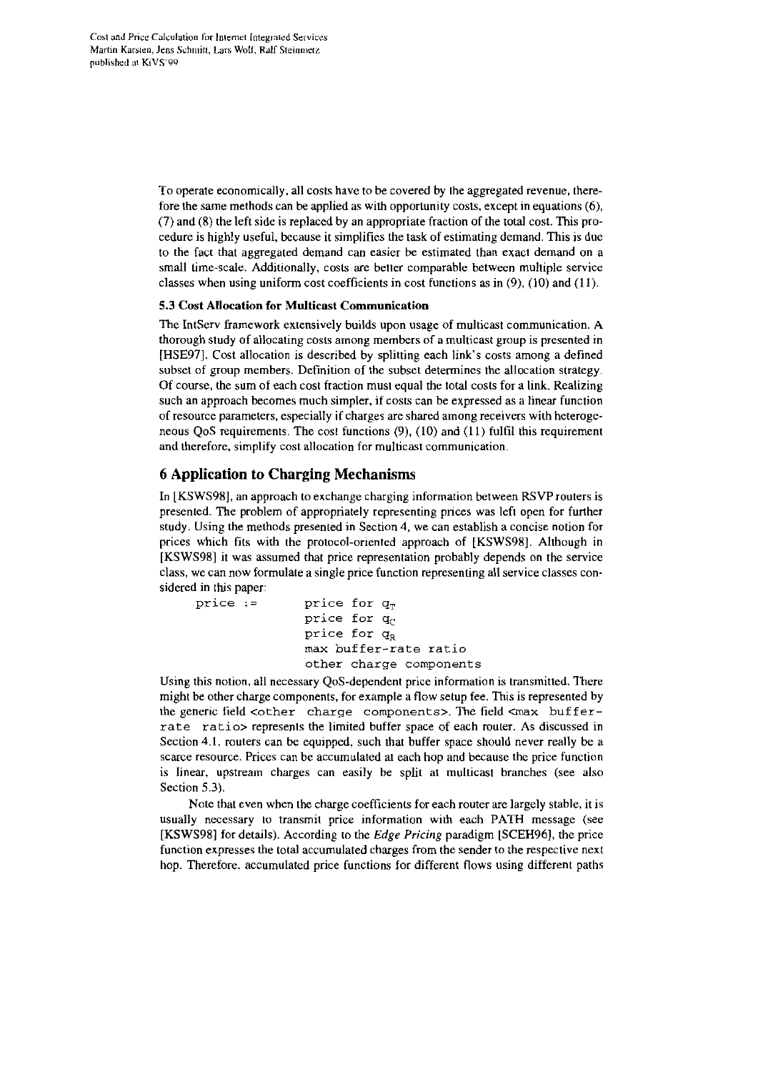To operate economically. all costs have to be covered by ihe aggregated revenue, therefore the same methods can **be** applied as with opportunity costs, except in equations (6), (7) and (8) the left side is replaced by an appropriate fraction of the total cost. This procedure is highly useful, because it simplifies the task of estimating demand. This is due to the fact that aggregated demand can easier be estimated than exact demand on a small time-scale. Additionally, costs are better comparable between multiple service classes when using uniform cost coefficients in cost functions as in  $(9)$ ,  $(10)$  and  $(11)$ .

## 5.3 Cost Allocation for Multicast Communication

The IntServ framework extensively builds upon usage of multicast communication. A thorough study of allocating costs among members of a multicast group is presented in [HSE97]. Cost allocation is described by splitting each link's costs among a defined subset of group members. Definition of the subset determines the allocation strategy. Of Course, the sum of each cost fraction must equal rhe total costs for a link. Realizing such an approach becomes much simpler, if costs can be expressed as a linear function of resource Parameters. especially if chages are shared among receivers with heterogeneous QoS requirements. The cost functions (9). (10) and (11) fulfil this requirement and therefore, simplify cost allocation for multicast communication.

# **6 Application to Charging Mechanisms**

In [KSWS98], an approach to exchange charging information between RSVProuters is presented. The problem ot'appropnately representing prices was left Open for further study. Using the methods presented in Section 4. we can establish a concise notion for prices which fits with the protocol-oriented approach of [KSWS98]. Although in [KSWS98] it was assumed that price representaiion probably depends on the service class, we can now formulate a single price function representing all service classes considered in this paper:

```
price := price for q_Tprice for q_cprice for q_Rmax buffer-rate ratio 
  other charge components
```
Using this notion. all necessary QoS-dependent price information is transmitted. There might be other charge components, for example a flow setup fee. This is represented by the generic field  $\zeta$ other charge components>. The field  $\zeta$ max bufferrate ratio> represents the limited buffer space of each router. As discussed in Section **4.1,** routers can be equipped, such that buffer space should never really be a scarce resource. Prices can be accumulated at each hop and because the price function is linear, upstream charges can easily be split at multicast branches (see also Section **5.3).** 

Note that even when the charge coefficients for each router are largely stable, it is usually necessary to transmit price information with each PATH message (see [KSWS98] for details). According to the *Edge Pricing* paradigm [SCEH96], the price function expresses the total accumulated charges from the sender to the respective next hop. Therefore, accumulated price functions for different flows using different paths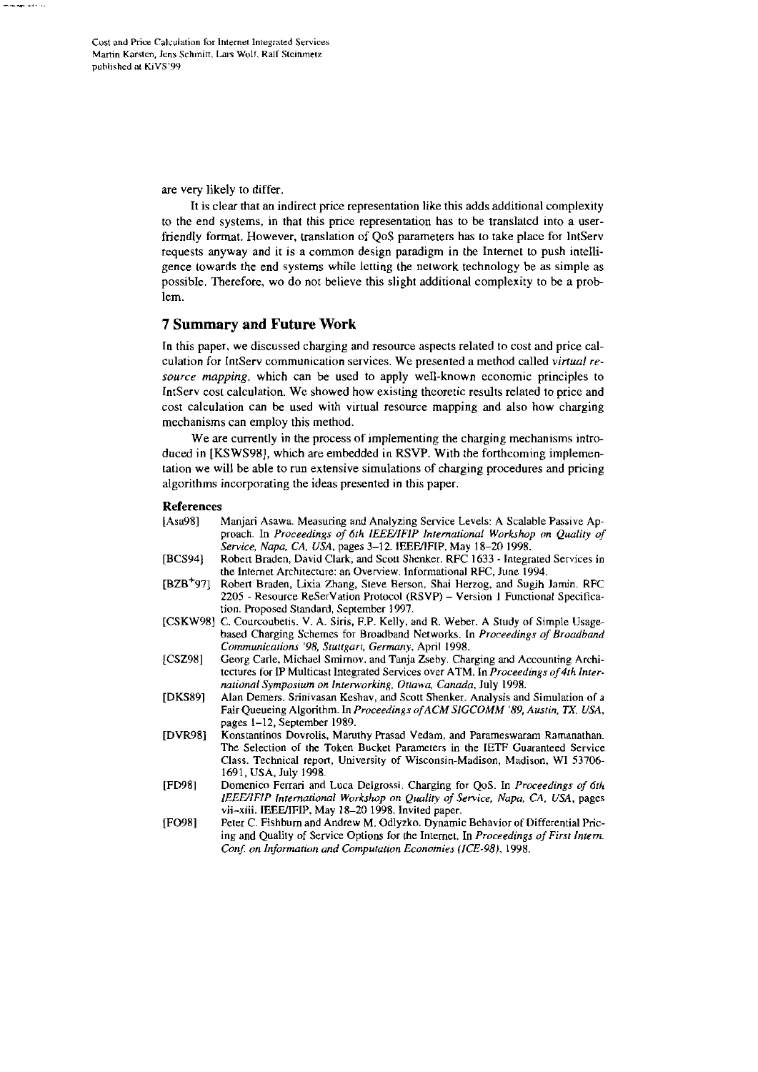Cost and Price Calculation for Internet Integrated Services Martin Karsten, Jens Schmitt, Lars Wolf, Ralf Steinmetz published at KiVS'99

**Professor Professor Professor Professor** 

are very likely to differ.

It is clear that an indirect price representation like this adds additional complexity to the end systems, in that this price representation has to be translated into a userfriendly format. However, translation of QoS parameters has to take place for IntServ requests anyway and it is a common design paradigm in the Internet to push intelligence towards the end systems while letting the network technology be as simple as possible. Therefore, wo do not believe this slight additional complexity to be a problem.

# **7 Summary and Future Work**

In this paper, we discussed charging and resource aspects related to cost and price calculation for IntServ communication services. We presented a method called *virtual re*source mapping, which can be used to apply well-known economic principles to IntServ cost calculation. We showed how existing theoretic results related to price and cost calculation can be used with virtual resource mapping and also how charging mechanisms can employ this method.

We are currently in the process of implementing the charging mechanisms introduced in [KSWS98], which are embedded in RSVP. With the forthcoming implementation we will be able to run extensive simulations of charging procedures and pricing algorithms incorporating the ideas presented in this paper.

#### **References**

| [Asa98]               | Manjari Asawa. Measuring and Analyzing Service Levels: A Scalable Passive Ap-<br>proach. In Proceedings of 6th IEEE/IFIP International Workshop on Quality of<br>Service, Napa, CA, USA, pages 3-12. IEEE/IFIP, May 18-20 1998.                                   |
|-----------------------|-------------------------------------------------------------------------------------------------------------------------------------------------------------------------------------------------------------------------------------------------------------------|
| [BCS94]               | Robert Braden, David Clark, and Scott Shenker. RFC 1633 - Integrated Services in<br>the Internet Architecture: an Overview, Informational RFC, June 1994.                                                                                                         |
| [BZB <sup>+</sup> 97] | Robert Braden, Lixia Zhang, Steve Berson, Shai Herzog, and Sugih Jamin. RFC<br>2205 - Resource ReSerVation Protocol (RSVP) – Version 1 Functional Specifica-<br>tion. Proposed Standard. September 1997.                                                          |
|                       | [CSKW98] C. Courcoubetis. V. A. Siris, F.P. Kelly, and R. Weber. A Study of Simple Usage-<br>based Charging Schemes for Broadband Networks. In <i>Proceedings of Broadband</i><br>Communications '98, Stuttgart, Germany, April 1998.                             |
| [CSZ98]               | Georg Carle, Michael Smirnov, and Tanja Zseby. Charging and Accounting Archi-<br>tectures for IP Multicast Integrated Services over ATM. In <i>Proceedings of 4th Inter-</i><br>national Symposium on Interworking, Ottawa, Canada, July 1998.                    |
| [DKS89]               | Alan Demers, Srinivasan Keshav, and Scott Shenker. Analysis and Simulation of a<br>Fair Queueing Algorithm. In <i>Proceedings of ACM SIGCOMM '89, Austin, TX, USA</i> ,<br>pages 1–12, September 1989.                                                            |
| [DVR98]               | Konstantinos Dovrolis, Maruthy Prasad Vedam, and Parameswaram Ramanathan.<br>The Selection of the Token Bucket Parameters in the IETF Guaranteed Service<br>Class. Technical report, University of Wisconsin-Madison, Madison, WI 53706-<br>1691, USA, July 1998. |
| [FD98]                | Domenico Ferrari and Luca Delgrossi. Charging for QoS. In Proceedings of 6th<br>IEEE/IFIP International Workshop on Quality of Service, Napa, CA, USA, pages<br>vii-xiii. IEEE/IFIP, May 18-20 1998. Invited paper.                                               |
| [FO98]                | Peter C. Fishburn and Andrew M. Odlyzko. Dynamic Behavior of Differential Pric-<br>ing and Quality of Service Options for the Internet. In Proceedings of First Intern.<br>Conf. on Information and Computation Economies (ICE-98), 1998.                         |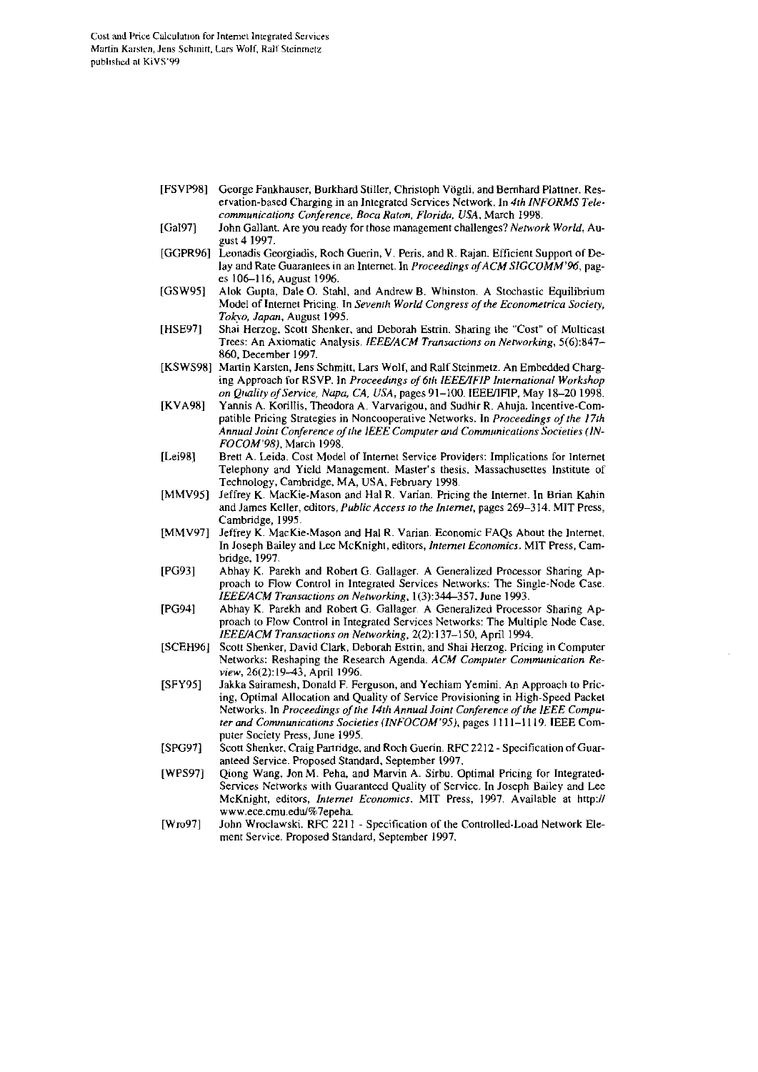- [FSVP98] George Fankhauser, Burkhard Stiller, Christoph Vögtli, and Bernhard Plattner. Reservation-based Charging in an Integrated Services Network. In 4th INFORMS Telecommunications Conference, Boca Raton, Florida, USA, March 1998.
- [Gal97] John Gallant. Are you ready for those management challenges? Network World, August 4 1997.
- [GGPR96] Leonadis Georgiadis, Roch Guerin, V. Peris, and R. Rajan, Efficient Support of Delay and Rate Guarantees in an Internet. In Proceedings of ACM SIGCOMM'96, pages 106-116, August 1996.
- [GSW95] Alok Gupta, Dale O. Stahl, and Andrew B. Whinston. A Stochastic Equilibrium Model of Internet Pricing. In Seventh World Congress of the Econometrica Society, Tokyo, Japan, August 1995.
- [HSE97] Shai Herzog, Scott Shenker, and Deborah Estrin. Sharing the "Cost" of Multicast Trees: An Axiomatic Analysis. IEEE/ACM Transactions on Networking, 5(6):847-860, December 1997.
- [KSWS98] Martin Karsten, Jens Schmitt, Lars Wolf, and Ralf Steinmetz. An Embedded Charging Approach for RSVP. In Proceedings of 6th IEEE/IFIP International Workshop on Quality of Service, Napa, CA, USA, pages 91-100. IEEE/IFIP, May 18-20 1998.
- Yannis A. Korillis, Theodora A. Varvarigou, and Sudhir R. Ahuja. Incentive-Com-**IKVA981** patible Pricing Strategies in Noncooperative Networks. In Proceedings of the 17th Annual Joint Conference of the IEEE Computer and Communications Societies (IN-FOCOM'98), March 1998.
- $[Lei98]$ Brett A. Leida. Cost Model of Internet Service Providers: Implications for Internet Telephony and Yield Management. Master's thesis, Massachusettes Institute of Technology, Cambridge, MA, USA, February 1998.
- Jeffrey K. MacKie-Mason and Hal R. Varian. Pricing the Internet. In Brian Kahin  $[MMV95]$ and James Keller, editors, *Public Access to the Internet*, pages 269-314. MIT Press, Cambridge, 1995.
- [MMV97] Jeffrey K. MacKie-Mason and Hal R. Varian. Economic FAQs About the Internet. In Joseph Bailey and Lee McKnight, editors, Internet Economics. MIT Press, Cambridge, 1997.
- $[PG93]$ Abhay K. Parekh and Robert G. Gallager. A Generalized Processor Sharing Approach to Flow Control in Integrated Services Networks: The Single-Node Case. IEEE/ACM Transactions on Networking, 1(3):344-357. June 1993.
- **[PG94]** Abhay K. Parekh and Robert G. Gallager. A Generalized Processor Sharing Approach to Flow Control in Integrated Services Networks: The Multiple Node Case. .<br>IEEE/ACM Transactions on Networking, 2(2):137-150, April 1994.
- $[SCEH96]$ Scott Shenker, David Clark, Deborah Estrin, and Shai Herzog, Pricing in Computer Networks: Reshaping the Research Agenda. ACM Computer Communication Review, 26(2):19-43, April 1996.
- $[SFY95]$ Jakka Sairamesh, Donald F. Ferguson, and Yechiam Yemini. An Approach to Pricing, Optimal Allocation and Quality of Service Provisioning in High-Speed Packet Networks. In Proceedings of the 14th Annual Joint Conference of the IEEE Computer and Communications Societies (INFOCOM'95), pages 1111-1119. IEEE Computer Society Press, June 1995.
- [SPG97] .<br>Scott Shenker, Craig Partridge, and Roch Guerin. RFC 2212 - Specification of Guaranteed Service. Proposed Standard, September 1997.
- **IWPS971** Qiong Wang, Jon M. Peha, and Marvin A. Sirbu. Optimal Pricing for Integrated-Services Networks with Guaranteed Quality of Service. In Joseph Bailey and Lee McKnight, editors, *Internet Economics*. MIT Press, 1997. Available at http:// www.ece.cmu.edu/%7epeha.
- [Wro97] John Wroclawski, RFC 2211 - Specification of the Controlled-Load Network Element Service. Proposed Standard, September 1997,